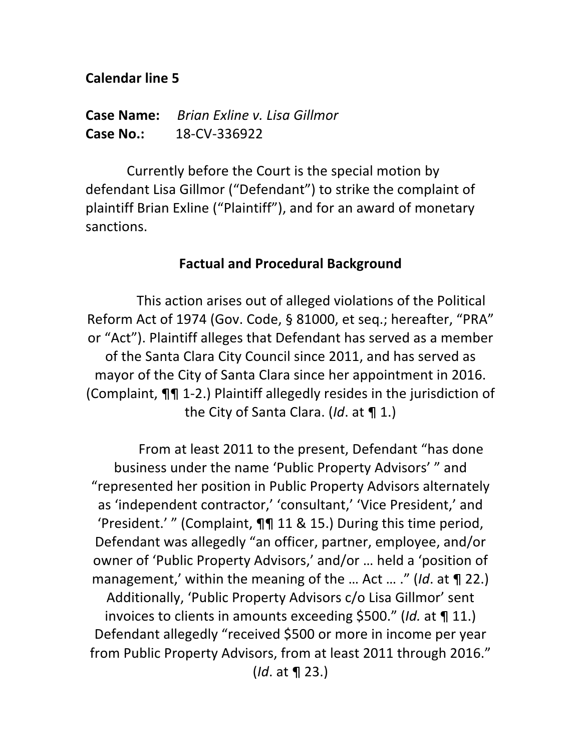#### **Calendar line 5**

**Case Name:** *Brign Exline v. Lisg Gillmor* **Case No.:** 18-CV-336922

Currently before the Court is the special motion by defendant Lisa Gillmor ("Defendant") to strike the complaint of plaintiff Brian Exline ("Plaintiff"), and for an award of monetary sanctions.

#### **Factual and Procedural Background**

This action arises out of alleged violations of the Political Reform Act of 1974 (Gov. Code, § 81000, et seq.; hereafter, "PRA" or "Act"). Plaintiff alleges that Defendant has served as a member of the Santa Clara City Council since 2011, and has served as mayor of the City of Santa Clara since her appointment in 2016. (Complaint,  $\P\P$  1-2.) Plaintiff allegedly resides in the jurisdiction of the City of Santa Clara. (*Id.* at ¶ 1.)

From at least 2011 to the present, Defendant "has done business under the name 'Public Property Advisors' " and "represented her position in Public Property Advisors alternately as 'independent contractor,' 'consultant,' 'Vice President,' and 'President.' " (Complaint,  $\P\P$  11 & 15.) During this time period, Defendant was allegedly "an officer, partner, employee, and/or owner of 'Public Property Advisors,' and/or ... held a 'position of management,' within the meaning of the ... Act ... ." (*Id.* at **¶** 22.) Additionally, 'Public Property Advisors c/o Lisa Gillmor' sent invoices to clients in amounts exceeding \$500." (*Id.* at **¶** 11.) Defendant allegedly "received \$500 or more in income per year from Public Property Advisors, from at least 2011 through 2016." (*Id.* at **¶** 23.)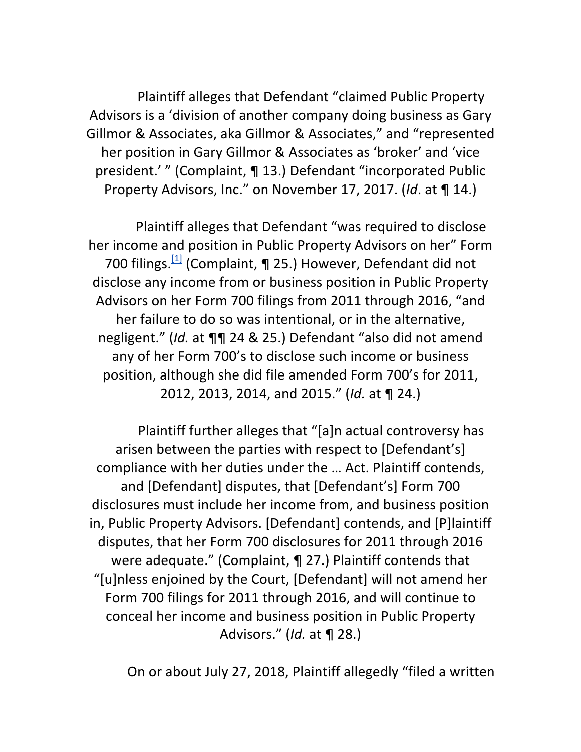Plaintiff alleges that Defendant "claimed Public Property Advisors is a 'division of another company doing business as Gary Gillmor & Associates, aka Gillmor & Associates," and "represented her position in Gary Gillmor & Associates as 'broker' and 'vice president.' " (Complaint, ¶ 13.) Defendant "incorporated Public Property Advisors, Inc." on November 17, 2017. (*Id.* at ¶ 14.)

Plaintiff alleges that Defendant "was required to disclose her income and position in Public Property Advisors on her" Form 700 filings.  $\left[ \frac{11}{11} \right]$  (Complaint, ¶ 25.) However, Defendant did not disclose any income from or business position in Public Property Advisors on her Form 700 filings from 2011 through 2016, "and her failure to do so was intentional, or in the alternative, negligent." (*Id.* at  $\P\P$  24 & 25.) Defendant "also did not amend any of her Form 700's to disclose such income or business position, although she did file amended Form 700's for 2011, 2012, 2013, 2014, and 2015." (*Id.* at ¶ 24.)

Plaintiff further alleges that "[a]n actual controversy has arisen between the parties with respect to [Defendant's] compliance with her duties under the ... Act. Plaintiff contends, and [Defendant] disputes, that [Defendant's] Form 700 disclosures must include her income from, and business position in, Public Property Advisors. [Defendant] contends, and [P]laintiff disputes, that her Form 700 disclosures for 2011 through 2016 were adequate." (Complaint,  $\P$  27.) Plaintiff contends that "[u]nless enjoined by the Court, [Defendant] will not amend her Form 700 filings for 2011 through 2016, and will continue to conceal her income and business position in Public Property Advisors." (*Id.* at **¶** 28.)

On or about July 27, 2018, Plaintiff allegedly "filed a written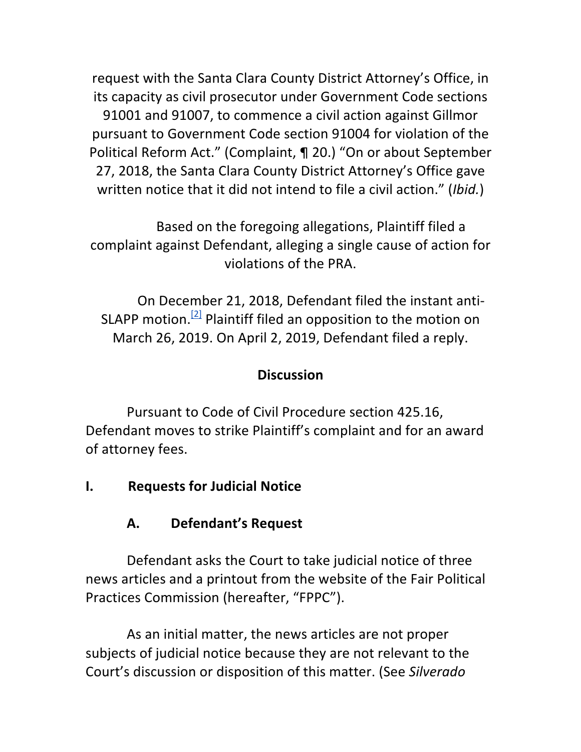request with the Santa Clara County District Attorney's Office, in its capacity as civil prosecutor under Government Code sections 91001 and 91007, to commence a civil action against Gillmor pursuant to Government Code section 91004 for violation of the Political Reform Act." (Complaint, ¶ 20.) "On or about September 27, 2018, the Santa Clara County District Attorney's Office gave written notice that it did not intend to file a civil action." (*Ibid.*)

Based on the foregoing allegations, Plaintiff filed a complaint against Defendant, alleging a single cause of action for violations of the PRA.

On December 21, 2018, Defendant filed the instant anti-SLAPP motion.<sup>[2]</sup> Plaintiff filed an opposition to the motion on March 26, 2019. On April 2, 2019, Defendant filed a reply.

## **Discussion**

Pursuant to Code of Civil Procedure section 425.16, Defendant moves to strike Plaintiff's complaint and for an award of attorney fees.

## **I.** Requests for Judicial Notice

## **A. Defendant's Request**

Defendant asks the Court to take judicial notice of three news articles and a printout from the website of the Fair Political Practices Commission (hereafter, "FPPC").

As an initial matter, the news articles are not proper subjects of judicial notice because they are not relevant to the Court's discussion or disposition of this matter. (See *Silverado*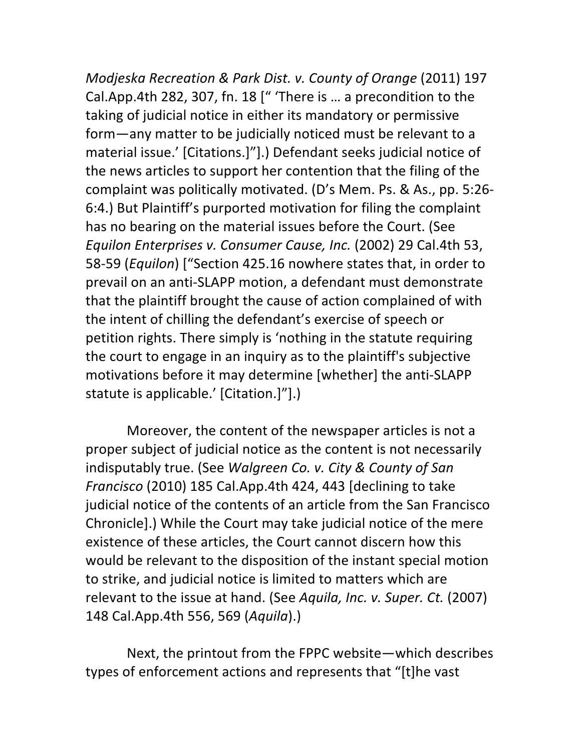*Modjeska Recreation & Park Dist. v. County of Orange* (2011) 197 Cal.App.4th 282, 307, fn. 18 [" 'There is ... a precondition to the taking of judicial notice in either its mandatory or permissive form—any matter to be judicially noticed must be relevant to a material issue.' [Citations.]"].) Defendant seeks judicial notice of the news articles to support her contention that the filing of the complaint was politically motivated. (D's Mem. Ps. & As., pp. 5:26-6:4.) But Plaintiff's purported motivation for filing the complaint has no bearing on the material issues before the Court. (See *Equilon Enterprises v. Consumer Cause, Inc.* (2002) 29 Cal.4th 53, 58-59 (*Equilon*) ["Section 425.16 nowhere states that, in order to prevail on an anti-SLAPP motion, a defendant must demonstrate that the plaintiff brought the cause of action complained of with the intent of chilling the defendant's exercise of speech or petition rights. There simply is 'nothing in the statute requiring the court to engage in an inquiry as to the plaintiff's subjective motivations before it may determine [whether] the anti-SLAPP statute is applicable.' [Citation.]"].)

Moreover, the content of the newspaper articles is not a proper subject of judicial notice as the content is not necessarily indisputably true. (See *Walgreen Co. v. City & County of San Francisco* (2010) 185 Cal.App.4th 424, 443 [declining to take judicial notice of the contents of an article from the San Francisco Chronicle].) While the Court may take judicial notice of the mere existence of these articles, the Court cannot discern how this would be relevant to the disposition of the instant special motion to strike, and judicial notice is limited to matters which are relevant to the issue at hand. (See *Aquila, Inc. v. Super. Ct.* (2007) 148 Cal.App.4th 556, 569 (*Aquila*).) 

Next, the printout from the FPPC website—which describes types of enforcement actions and represents that "[t]he vast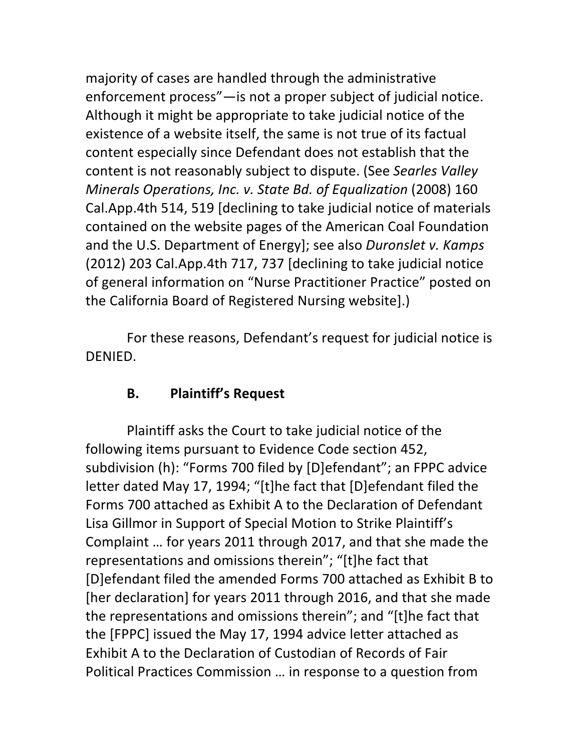majority of cases are handled through the administrative enforcement process"—is not a proper subject of judicial notice. Although it might be appropriate to take judicial notice of the existence of a website itself, the same is not true of its factual content especially since Defendant does not establish that the content is not reasonably subject to dispute. (See *Searles Valley Minerals Operations, Inc. v. State Bd. of Equalization* (2008) 160 Cal.App.4th 514, 519 [declining to take judicial notice of materials contained on the website pages of the American Coal Foundation and the U.S. Department of Energy]; see also *Duronslet v. Kamps* (2012) 203 Cal.App.4th 717, 737 [declining to take judicial notice of general information on "Nurse Practitioner Practice" posted on the California Board of Registered Nursing website].)

For these reasons, Defendant's request for judicial notice is DENIED.

### **B.** Plaintiff's Request

Plaintiff asks the Court to take judicial notice of the following items pursuant to Evidence Code section 452, subdivision (h): "Forms 700 filed by [D]efendant"; an FPPC advice letter dated May 17, 1994; "[t]he fact that [D]efendant filed the Forms 700 attached as Exhibit A to the Declaration of Defendant Lisa Gillmor in Support of Special Motion to Strike Plaintiff's Complaint ... for years 2011 through 2017, and that she made the representations and omissions therein"; "[t]he fact that [D]efendant filed the amended Forms 700 attached as Exhibit B to [her declaration] for years 2011 through 2016, and that she made the representations and omissions therein"; and "[t]he fact that the [FPPC] issued the May 17, 1994 advice letter attached as Exhibit A to the Declaration of Custodian of Records of Fair Political Practices Commission ... in response to a question from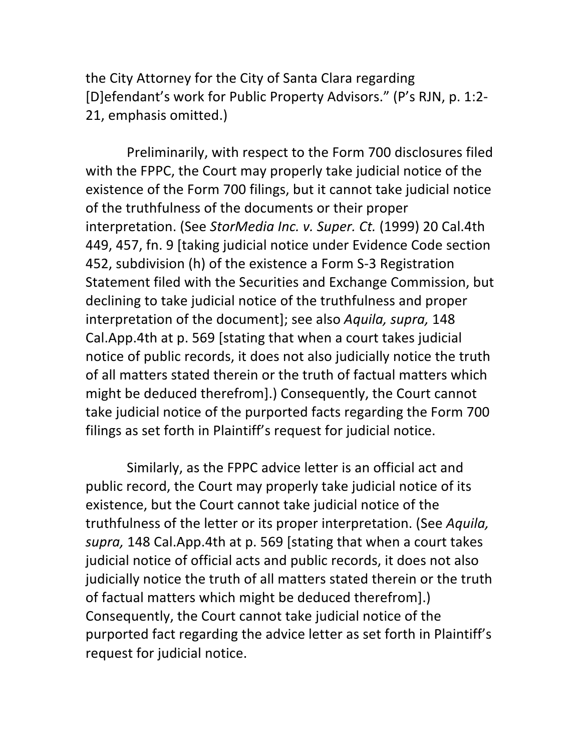the City Attorney for the City of Santa Clara regarding [D]efendant's work for Public Property Advisors." (P's RJN, p. 1:2-21, emphasis omitted.)

Preliminarily, with respect to the Form 700 disclosures filed with the FPPC, the Court may properly take judicial notice of the existence of the Form 700 filings, but it cannot take judicial notice of the truthfulness of the documents or their proper interpretation. (See StorMedia Inc. v. Super. Ct. (1999) 20 Cal.4th 449, 457, fn. 9 [taking judicial notice under Evidence Code section 452, subdivision (h) of the existence a Form S-3 Registration Statement filed with the Securities and Exchange Commission, but declining to take judicial notice of the truthfulness and proper interpretation of the document]; see also *Aquila, supra*, 148 Cal.App.4th at p. 569 [stating that when a court takes judicial notice of public records, it does not also judicially notice the truth of all matters stated therein or the truth of factual matters which might be deduced therefrom].) Consequently, the Court cannot take judicial notice of the purported facts regarding the Form 700 filings as set forth in Plaintiff's request for judicial notice.

Similarly, as the FPPC advice letter is an official act and public record, the Court may properly take judicial notice of its existence, but the Court cannot take judicial notice of the truthfulness of the letter or its proper interpretation. (See *Aquila*, supra, 148 Cal.App.4th at p. 569 [stating that when a court takes judicial notice of official acts and public records, it does not also judicially notice the truth of all matters stated therein or the truth of factual matters which might be deduced therefrom].) Consequently, the Court cannot take judicial notice of the purported fact regarding the advice letter as set forth in Plaintiff's request for judicial notice.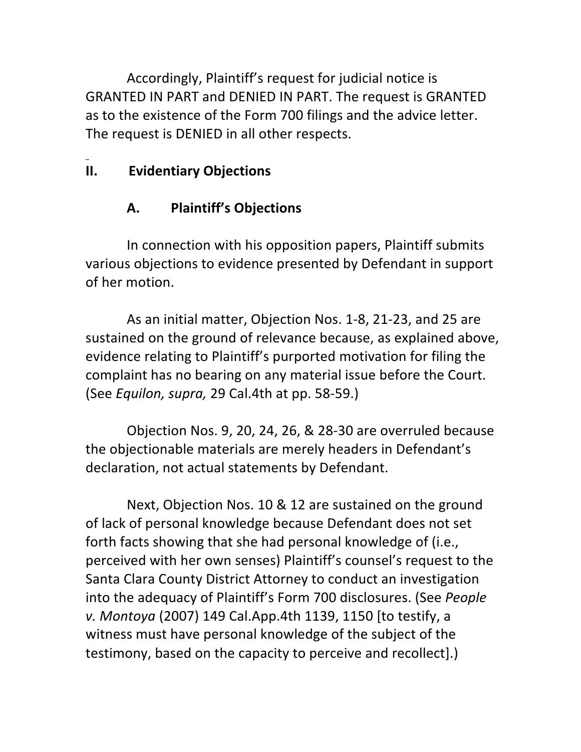Accordingly, Plaintiff's request for judicial notice is GRANTED IN PART and DENIED IN PART. The request is GRANTED as to the existence of the Form 700 filings and the advice letter. The request is DENIED in all other respects.

# **II. Evidentiary Objections**

# **A. Plaintiff's Objections**

In connection with his opposition papers, Plaintiff submits various objections to evidence presented by Defendant in support of her motion.

As an initial matter, Objection Nos. 1-8, 21-23, and 25 are sustained on the ground of relevance because, as explained above, evidence relating to Plaintiff's purported motivation for filing the complaint has no bearing on any material issue before the Court. (See *Equilon, supra,* 29 Cal.4th at pp. 58-59.)

Objection Nos. 9, 20, 24, 26, & 28-30 are overruled because the objectionable materials are merely headers in Defendant's declaration, not actual statements by Defendant.

Next, Objection Nos. 10 & 12 are sustained on the ground of lack of personal knowledge because Defendant does not set forth facts showing that she had personal knowledge of (i.e., perceived with her own senses) Plaintiff's counsel's request to the Santa Clara County District Attorney to conduct an investigation into the adequacy of Plaintiff's Form 700 disclosures. (See People *v. Montoya* (2007) 149 Cal.App.4th 1139, 1150 [to testify, a witness must have personal knowledge of the subject of the testimony, based on the capacity to perceive and recollect].)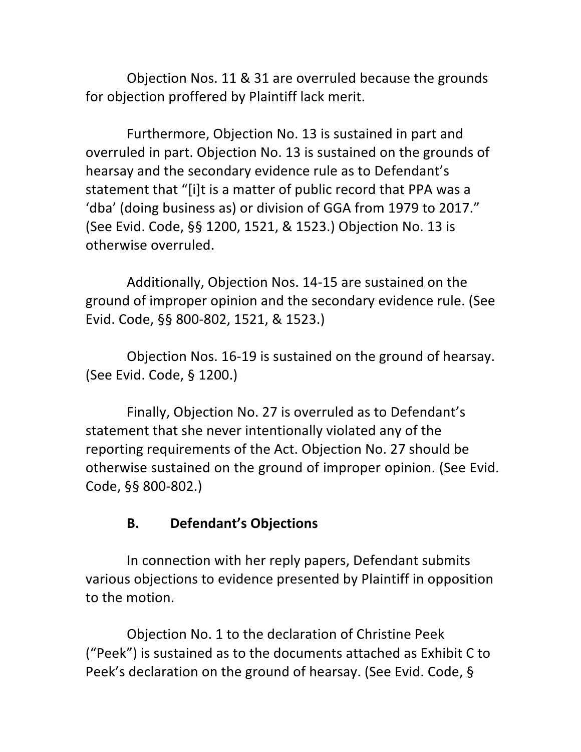Objection Nos. 11 & 31 are overruled because the grounds for objection proffered by Plaintiff lack merit.

Furthermore, Objection No. 13 is sustained in part and overruled in part. Objection No. 13 is sustained on the grounds of hearsay and the secondary evidence rule as to Defendant's statement that "[i]t is a matter of public record that PPA was a 'dba' (doing business as) or division of GGA from 1979 to 2017." (See Evid. Code, §§ 1200, 1521, & 1523.) Objection No. 13 is otherwise overruled.

Additionally, Objection Nos. 14-15 are sustained on the ground of improper opinion and the secondary evidence rule. (See Evid. Code, §§ 800-802, 1521, & 1523.)

Objection Nos. 16-19 is sustained on the ground of hearsay. (See Evid. Code, § 1200.)

Finally, Objection No. 27 is overruled as to Defendant's statement that she never intentionally violated any of the reporting requirements of the Act. Objection No. 27 should be otherwise sustained on the ground of improper opinion. (See Evid. Code, §§ 800-802.)

# **B. Defendant's Objections**

In connection with her reply papers, Defendant submits various objections to evidence presented by Plaintiff in opposition to the motion.

Objection No. 1 to the declaration of Christine Peek ("Peek") is sustained as to the documents attached as Exhibit C to Peek's declaration on the ground of hearsay. (See Evid. Code, §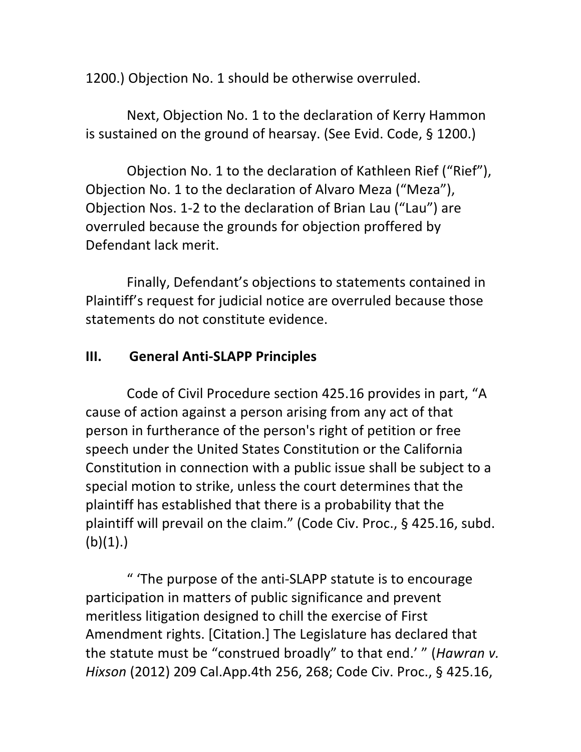1200.) Objection No. 1 should be otherwise overruled.

Next, Objection No. 1 to the declaration of Kerry Hammon is sustained on the ground of hearsay. (See Evid. Code, § 1200.)

Objection No. 1 to the declaration of Kathleen Rief ("Rief"), Objection No. 1 to the declaration of Alvaro Meza ("Meza"), Objection Nos. 1-2 to the declaration of Brian Lau ("Lau") are overruled because the grounds for objection proffered by Defendant lack merit.

Finally, Defendant's objections to statements contained in Plaintiff's request for judicial notice are overruled because those statements do not constitute evidence.

## **III.** General Anti-SLAPP Principles

Code of Civil Procedure section 425.16 provides in part, "A cause of action against a person arising from any act of that person in furtherance of the person's right of petition or free speech under the United States Constitution or the California Constitution in connection with a public issue shall be subject to a special motion to strike, unless the court determines that the plaintiff has established that there is a probability that the plaintiff will prevail on the claim." (Code Civ. Proc.,  $\S$  425.16, subd.  $(b)(1).$ 

" 'The purpose of the anti-SLAPP statute is to encourage participation in matters of public significance and prevent meritless litigation designed to chill the exercise of First Amendment rights. [Citation.] The Legislature has declared that the statute must be "construed broadly" to that end.' " (*Hawran v. Hixson* (2012) 209 Cal.App.4th 256, 268; Code Civ. Proc., § 425.16,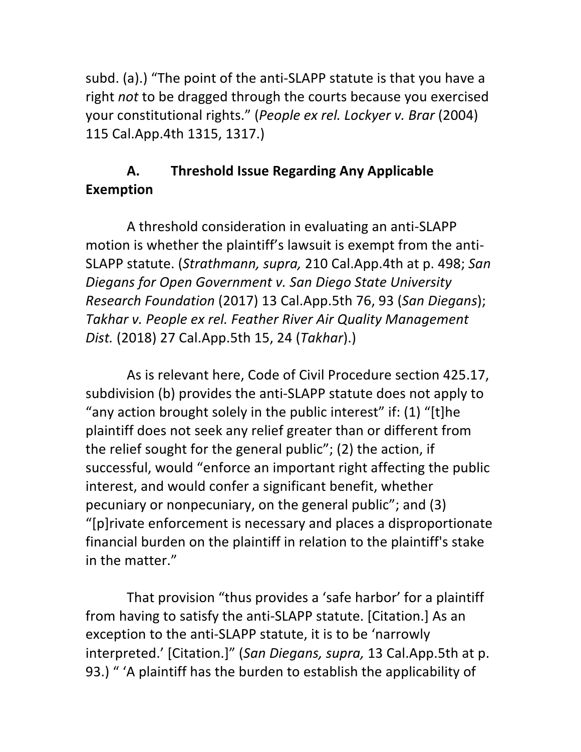subd. (a).) "The point of the anti-SLAPP statute is that you have a right *not* to be dragged through the courts because you exercised your constitutional rights." (People ex rel. Lockyer v. Brar (2004) 115 Cal.App.4th 1315, 1317.)

# A. Threshold Issue Regarding Any Applicable **Exemption**

A threshold consideration in evaluating an anti-SLAPP motion is whether the plaintiff's lawsuit is exempt from the anti-SLAPP statute. (*Strathmann, supra,* 210 Cal.App.4th at p. 498; *San Diegans for Open Government v. San Diego State University Research Foundation* (2017) 13 Cal.App.5th 76, 93 (*San Diegans*); Takhar v. People ex rel. Feather River Air Quality Management *Dist.* (2018) 27 Cal.App.5th 15, 24 (*Takhar*).)

As is relevant here, Code of Civil Procedure section 425.17, subdivision (b) provides the anti-SLAPP statute does not apply to "any action brought solely in the public interest" if:  $(1)$  "[t]he plaintiff does not seek any relief greater than or different from the relief sought for the general public"; (2) the action, if successful, would "enforce an important right affecting the public interest, and would confer a significant benefit, whether pecuniary or nonpecuniary, on the general public"; and (3) "[p]rivate enforcement is necessary and places a disproportionate financial burden on the plaintiff in relation to the plaintiff's stake in the matter."

That provision "thus provides a 'safe harbor' for a plaintiff from having to satisfy the anti-SLAPP statute. [Citation.] As an exception to the anti-SLAPP statute, it is to be 'narrowly interpreted.' [Citation.]" (San Diegans, supra, 13 Cal.App.5th at p. 93.) " 'A plaintiff has the burden to establish the applicability of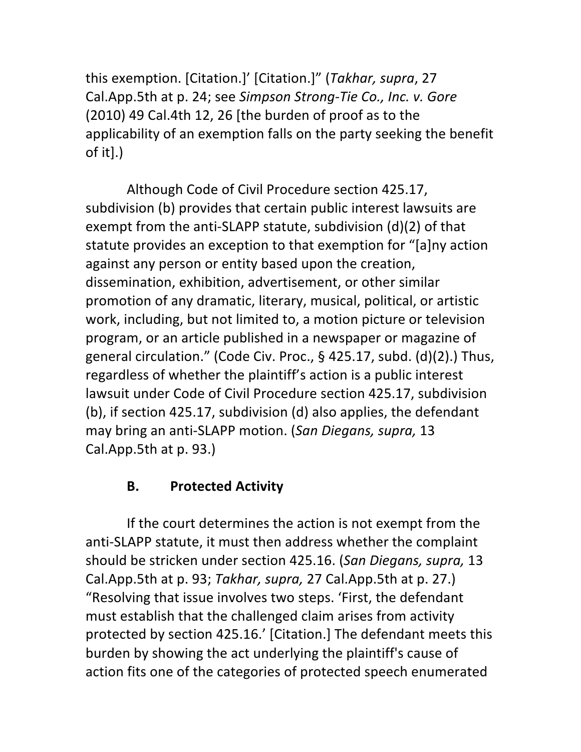this exemption. [Citation.]' [Citation.]" (*Takhar, supra, 27* Cal.App.5th at p. 24; see *Simpson Strong-Tie Co., Inc. v. Gore*  $(2010)$  49 Cal.4th 12, 26 [the burden of proof as to the applicability of an exemption falls on the party seeking the benefit of it].)

Although Code of Civil Procedure section 425.17, subdivision (b) provides that certain public interest lawsuits are exempt from the anti-SLAPP statute, subdivision (d)(2) of that statute provides an exception to that exemption for "[a]ny action against any person or entity based upon the creation, dissemination, exhibition, advertisement, or other similar promotion of any dramatic, literary, musical, political, or artistic work, including, but not limited to, a motion picture or television program, or an article published in a newspaper or magazine of general circulation." (Code Civ. Proc., § 425.17, subd. (d)(2).) Thus, regardless of whether the plaintiff's action is a public interest lawsuit under Code of Civil Procedure section 425.17, subdivision (b), if section 425.17, subdivision  $(d)$  also applies, the defendant may bring an anti-SLAPP motion. (San Diegans, supra, 13 Cal.App.5th at p. 93.)

### **B. Protected Activity**

If the court determines the action is not exempt from the anti-SLAPP statute, it must then address whether the complaint should be stricken under section 425.16. (San Diegans, supra, 13 Cal.App.5th at p. 93; *Takhar, supra,* 27 Cal.App.5th at p. 27.) "Resolving that issue involves two steps. 'First, the defendant must establish that the challenged claim arises from activity protected by section 425.16.' [Citation.] The defendant meets this burden by showing the act underlying the plaintiff's cause of action fits one of the categories of protected speech enumerated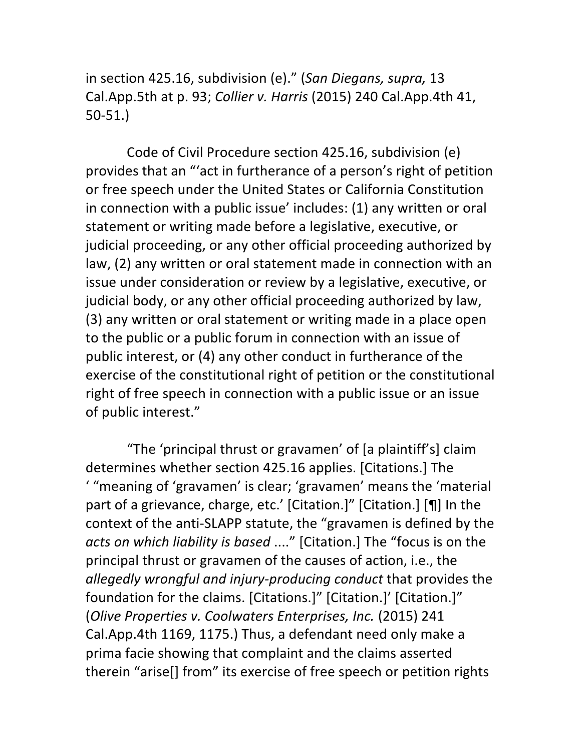in section 425.16, subdivision (e)." (*San Diegans, supra,* 13 Cal.App.5th at p. 93; *Collier v. Harris* (2015) 240 Cal.App.4th 41, 50-51.)

Code of Civil Procedure section 425.16, subdivision (e) provides that an "'act in furtherance of a person's right of petition or free speech under the United States or California Constitution in connection with a public issue' includes: (1) any written or oral statement or writing made before a legislative, executive, or judicial proceeding, or any other official proceeding authorized by law, (2) any written or oral statement made in connection with an issue under consideration or review by a legislative, executive, or judicial body, or any other official proceeding authorized by law, (3) any written or oral statement or writing made in a place open to the public or a public forum in connection with an issue of public interest, or (4) any other conduct in furtherance of the exercise of the constitutional right of petition or the constitutional right of free speech in connection with a public issue or an issue of public interest."

"The 'principal thrust or gravamen' of [a plaintiff's] claim determines whether section 425.16 applies. [Citations.] The " "meaning of 'gravamen' is clear; 'gravamen' means the 'material part of a grievance, charge, etc.' [Citation.]" [Citation.] [¶] In the context of the anti-SLAPP statute, the "gravamen is defined by the *acts* on which liability is based ...." [Citation.] The "focus is on the principal thrust or gravamen of the causes of action, i.e., the *allegedly wrongful and injury-producing conduct* that provides the foundation for the claims. [Citations.]" [Citation.]' [Citation.]" (*Olive Properties v. Coolwaters Enterprises, Inc.* (2015) 241 Cal.App.4th 1169, 1175.) Thus, a defendant need only make a prima facie showing that complaint and the claims asserted therein "arise[] from" its exercise of free speech or petition rights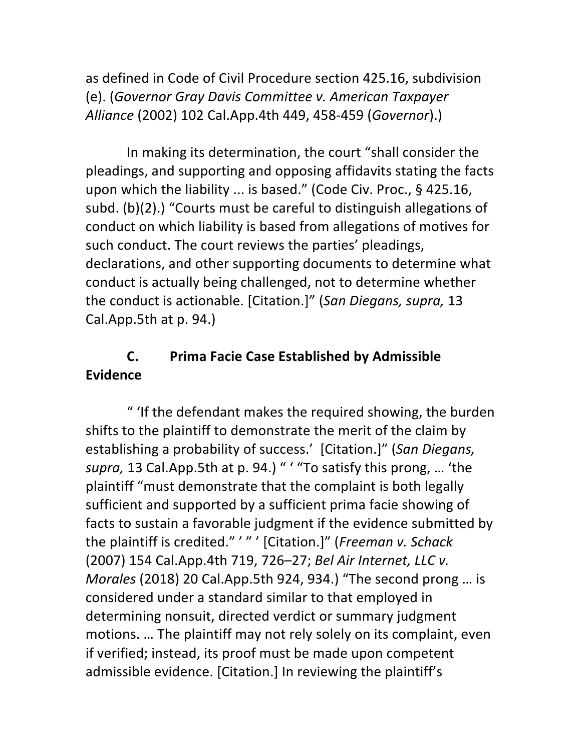as defined in Code of Civil Procedure section 425.16, subdivision (e). (*Governor Gray Davis Committee v. American Taxpayer Alliance* (2002) 102 Cal.App.4th 449, 458-459 (*Governor*).) 

In making its determination, the court "shall consider the pleadings, and supporting and opposing affidavits stating the facts upon which the liability ... is based." (Code Civ. Proc.,  $\S$  425.16, subd. (b)(2).) "Courts must be careful to distinguish allegations of conduct on which liability is based from allegations of motives for such conduct. The court reviews the parties' pleadings, declarations, and other supporting documents to determine what conduct is actually being challenged, not to determine whether the conduct is actionable. [Citation.]" (San Diegans, supra, 13 Cal.App.5th at  $p. 94.$ )

# **C.** Prima Facie Case Established by Admissible **Evidence**

" 'If the defendant makes the required showing, the burden shifts to the plaintiff to demonstrate the merit of the claim by establishing a probability of success.' [Citation.]" (San Diegans, supra, 13 Cal.App.5th at p. 94.) " ' "To satisfy this prong, ... 'the plaintiff "must demonstrate that the complaint is both legally sufficient and supported by a sufficient prima facie showing of facts to sustain a favorable judgment if the evidence submitted by the plaintiff is credited." '" ' [Citation.]" (Freeman v. Schack (2007) 154 Cal.App.4th 719, 726-27; *Bel Air Internet, LLC v. Morales* (2018) 20 Cal.App.5th 924, 934.) "The second prong ... is considered under a standard similar to that employed in determining nonsuit, directed verdict or summary judgment motions. ... The plaintiff may not rely solely on its complaint, even if verified; instead, its proof must be made upon competent admissible evidence. [Citation.] In reviewing the plaintiff's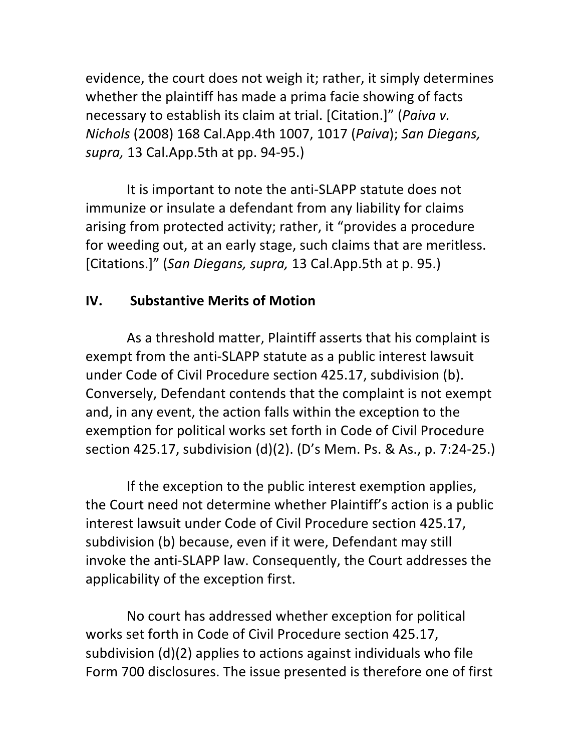evidence, the court does not weigh it; rather, it simply determines whether the plaintiff has made a prima facie showing of facts necessary to establish its claim at trial. [Citation.]" (*Paiva v. Nichols* (2008) 168 Cal.App.4th 1007, 1017 (*Paiva*); San Diegans, *supra,* 13 Cal.App.5th at pp. 94-95.)

It is important to note the anti-SLAPP statute does not immunize or insulate a defendant from any liability for claims arising from protected activity; rather, it "provides a procedure for weeding out, at an early stage, such claims that are meritless. [Citations.]" (*San Diegans, supra,* 13 Cal.App.5th at p. 95.)

# **IV. Substantive Merits of Motion**

As a threshold matter, Plaintiff asserts that his complaint is exempt from the anti-SLAPP statute as a public interest lawsuit under Code of Civil Procedure section 425.17, subdivision (b). Conversely, Defendant contends that the complaint is not exempt and, in any event, the action falls within the exception to the exemption for political works set forth in Code of Civil Procedure section 425.17, subdivision (d)(2). (D's Mem. Ps. & As., p. 7:24-25.)

If the exception to the public interest exemption applies, the Court need not determine whether Plaintiff's action is a public interest lawsuit under Code of Civil Procedure section 425.17, subdivision (b) because, even if it were, Defendant may still invoke the anti-SLAPP law. Consequently, the Court addresses the applicability of the exception first.

No court has addressed whether exception for political works set forth in Code of Civil Procedure section 425.17, subdivision  $(d)(2)$  applies to actions against individuals who file Form 700 disclosures. The issue presented is therefore one of first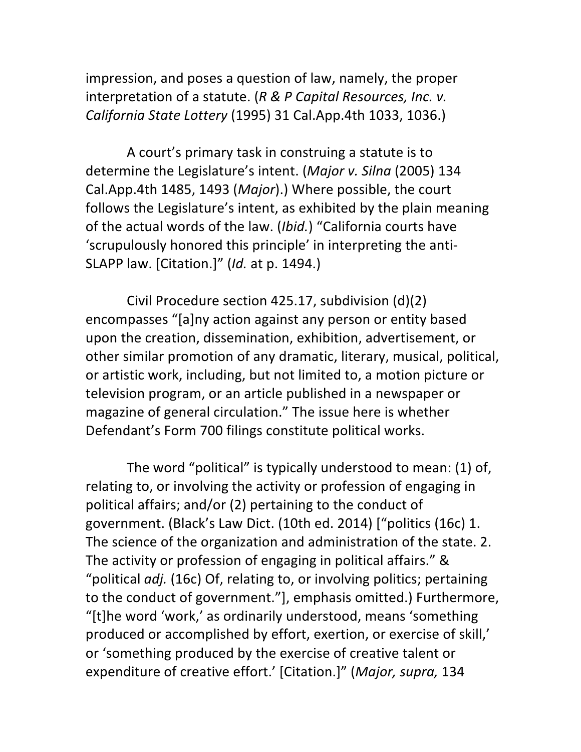impression, and poses a question of law, namely, the proper interpretation of a statute. (R & P Capital Resources, Inc. v. *California State Lottery* (1995) 31 Cal.App.4th 1033, 1036.)

A court's primary task in construing a statute is to determine the Legislature's intent. (Major v. Silna (2005) 134 Cal.App.4th 1485, 1493 (*Major*).) Where possible, the court follows the Legislature's intent, as exhibited by the plain meaning of the actual words of the law. (*Ibid.*) "California courts have 'scrupulously honored this principle' in interpreting the anti-SLAPP law. [Citation.]" (*Id.* at p. 1494.)

Civil Procedure section  $425.17$ , subdivision  $(d)(2)$ encompasses "[a]ny action against any person or entity based upon the creation, dissemination, exhibition, advertisement, or other similar promotion of any dramatic, literary, musical, political, or artistic work, including, but not limited to, a motion picture or television program, or an article published in a newspaper or magazine of general circulation." The issue here is whether Defendant's Form 700 filings constitute political works.

The word "political" is typically understood to mean: (1) of, relating to, or involving the activity or profession of engaging in political affairs; and/or (2) pertaining to the conduct of government. (Black's Law Dict. (10th ed. 2014) ["politics (16c) 1. The science of the organization and administration of the state. 2. The activity or profession of engaging in political affairs." & "political *adj.* (16c) Of, relating to, or involving politics; pertaining to the conduct of government."], emphasis omitted.) Furthermore, "[t]he word 'work,' as ordinarily understood, means 'something produced or accomplished by effort, exertion, or exercise of skill,' or 'something produced by the exercise of creative talent or expenditure of creative effort.' [Citation.]" (Major, supra, 134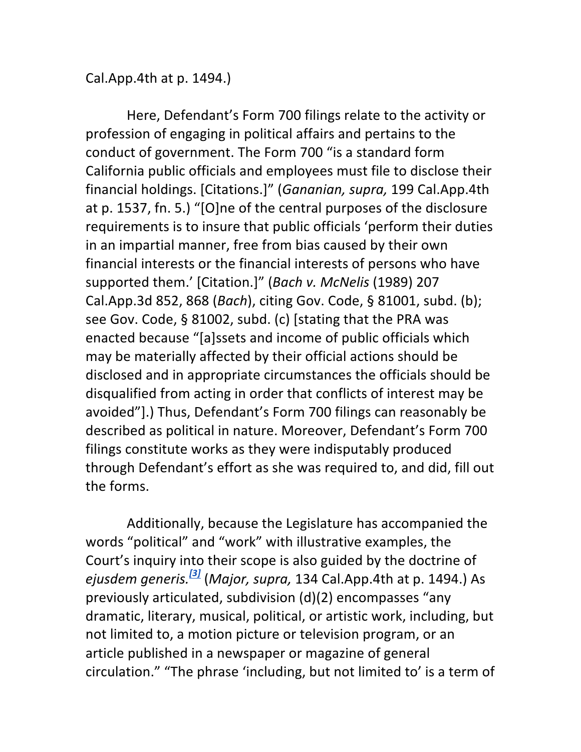Cal. App. 4th at p. 1494.)

Here, Defendant's Form 700 filings relate to the activity or profession of engaging in political affairs and pertains to the conduct of government. The Form 700 "is a standard form California public officials and employees must file to disclose their financial holdings. [Citations.]" (Gananian, supra, 199 Cal.App.4th at p. 1537, fn. 5.) "[O]ne of the central purposes of the disclosure requirements is to insure that public officials 'perform their duties in an impartial manner, free from bias caused by their own financial interests or the financial interests of persons who have supported them.' [Citation.]" (*Bach v. McNelis* (1989) 207 Cal.App.3d 852, 868 (*Bach*), citing Gov. Code, § 81001, subd. (b); see Gov. Code,  $\S$  81002, subd. (c) [stating that the PRA was enacted because "[a]ssets and income of public officials which may be materially affected by their official actions should be disclosed and in appropriate circumstances the officials should be disqualified from acting in order that conflicts of interest may be avoided"].) Thus, Defendant's Form 700 filings can reasonably be described as political in nature. Moreover, Defendant's Form 700 filings constitute works as they were indisputably produced through Defendant's effort as she was required to, and did, fill out the forms.

Additionally, because the Legislature has accompanied the words "political" and "work" with illustrative examples, the Court's inquiry into their scope is also guided by the doctrine of *ejusdem generis.[3]* (*Major, supra,* 134 Cal.App.4th at p. 1494.) As previously articulated, subdivision (d)(2) encompasses "any dramatic, literary, musical, political, or artistic work, including, but not limited to, a motion picture or television program, or an article published in a newspaper or magazine of general circulation." "The phrase 'including, but not limited to' is a term of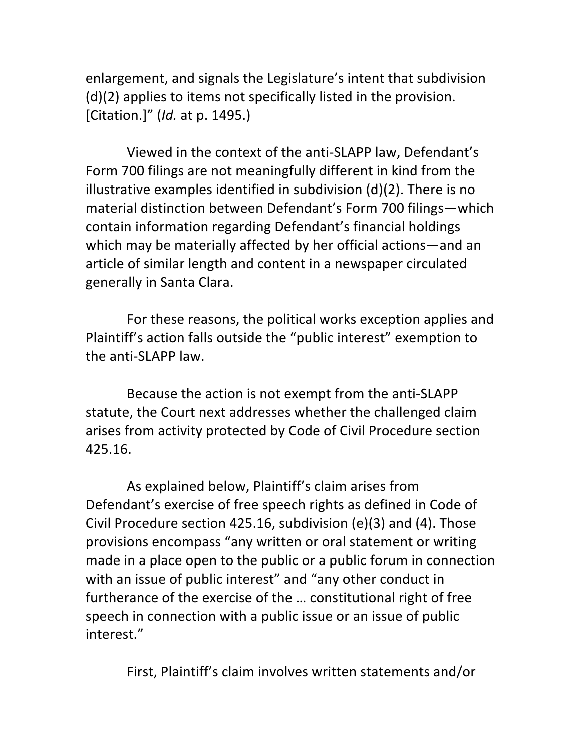enlargement, and signals the Legislature's intent that subdivision  $(d)(2)$  applies to items not specifically listed in the provision. [Citation.]" (*Id.* at p. 1495.)

Viewed in the context of the anti-SLAPP law, Defendant's Form 700 filings are not meaningfully different in kind from the illustrative examples identified in subdivision  $(d)(2)$ . There is no material distinction between Defendant's Form 700 filings—which contain information regarding Defendant's financial holdings which may be materially affected by her official actions—and an article of similar length and content in a newspaper circulated generally in Santa Clara.

For these reasons, the political works exception applies and Plaintiff's action falls outside the "public interest" exemption to the anti-SLAPP law.

Because the action is not exempt from the anti-SLAPP statute, the Court next addresses whether the challenged claim arises from activity protected by Code of Civil Procedure section 425.16.

As explained below, Plaintiff's claim arises from Defendant's exercise of free speech rights as defined in Code of Civil Procedure section 425.16, subdivision  $(e)(3)$  and  $(4)$ . Those provisions encompass "any written or oral statement or writing made in a place open to the public or a public forum in connection with an issue of public interest" and "any other conduct in furtherance of the exercise of the ... constitutional right of free speech in connection with a public issue or an issue of public interest."

First, Plaintiff's claim involves written statements and/or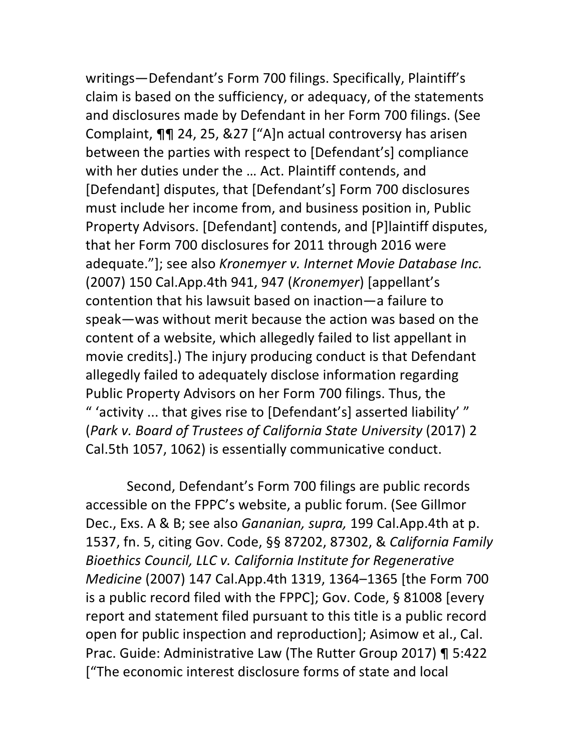writings-Defendant's Form 700 filings. Specifically, Plaintiff's claim is based on the sufficiency, or adequacy, of the statements and disclosures made by Defendant in her Form 700 filings. (See Complaint,  $\P\P$  24, 25, &27 ["A]n actual controversy has arisen between the parties with respect to [Defendant's] compliance with her duties under the ... Act. Plaintiff contends, and [Defendant] disputes, that [Defendant's] Form 700 disclosures must include her income from, and business position in, Public Property Advisors. [Defendant] contends, and [P]laintiff disputes, that her Form 700 disclosures for 2011 through 2016 were adequate."]; see also *Kronemyer v. Internet Movie Database Inc.* (2007) 150 Cal.App.4th 941, 947 (*Kronemyer*) [appellant's contention that his lawsuit based on inaction—a failure to speak—was without merit because the action was based on the content of a website, which allegedly failed to list appellant in movie credits].) The injury producing conduct is that Defendant allegedly failed to adequately disclose information regarding Public Property Advisors on her Form 700 filings. Thus, the " 'activity ... that gives rise to [Defendant's] asserted liability' " (*Park v. Board of Trustees of California State University* (2017) 2 Cal.5th 1057, 1062) is essentially communicative conduct.

Second, Defendant's Form 700 filings are public records accessible on the FPPC's website, a public forum. (See Gillmor Dec., Exs. A & B; see also *Gananian, supra,* 199 Cal.App.4th at p. 1537, fn. 5, citing Gov. Code, §§ 87202, 87302, & *California Family* Bioethics Council, LLC v. California Institute for Regenerative *Medicine* (2007) 147 Cal.App.4th 1319, 1364–1365 [the Form 700 is a public record filed with the FPPC]; Gov. Code,  $\S$  81008 [every report and statement filed pursuant to this title is a public record open for public inspection and reproduction]; Asimow et al., Cal. Prac. Guide: Administrative Law (The Rutter Group 2017) ¶ 5:422 ["The economic interest disclosure forms of state and local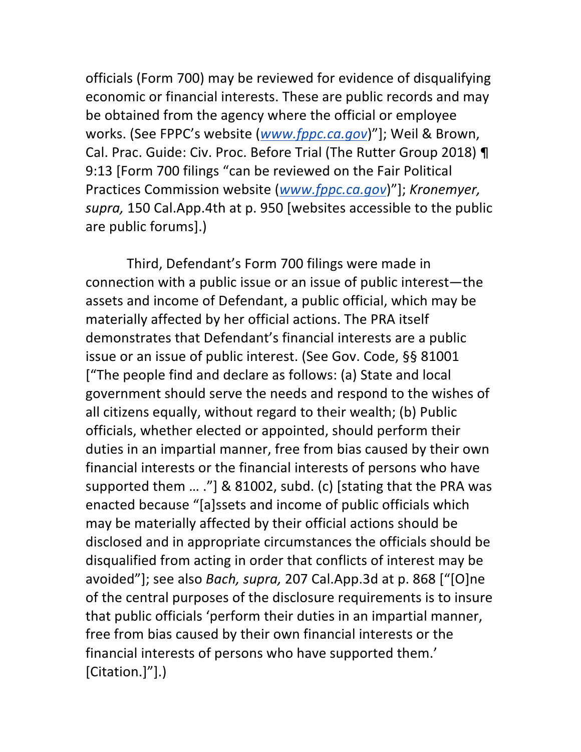officials (Form 700) may be reviewed for evidence of disqualifying economic or financial interests. These are public records and may be obtained from the agency where the official or employee works. (See FPPC's website (*www.fppc.ca.gov*)"]; Weil & Brown, Cal. Prac. Guide: Civ. Proc. Before Trial (The Rutter Group 2018) ¶ 9:13 [Form 700 filings "can be reviewed on the Fair Political Practices Commission website (*www.fppc.ca.gov*)"]; *Kronemyer,* supra, 150 Cal.App.4th at p. 950 [websites accessible to the public are public forums].)

Third, Defendant's Form 700 filings were made in connection with a public issue or an issue of public interest—the assets and income of Defendant, a public official, which may be materially affected by her official actions. The PRA itself demonstrates that Defendant's financial interests are a public issue or an issue of public interest. (See Gov. Code, §§ 81001 ["The people find and declare as follows: (a) State and local government should serve the needs and respond to the wishes of all citizens equally, without regard to their wealth; (b) Public officials, whether elected or appointed, should perform their duties in an impartial manner, free from bias caused by their own financial interests or the financial interests of persons who have supported them  $\ldots$  ."] & 81002, subd. (c) [stating that the PRA was enacted because "[a]ssets and income of public officials which may be materially affected by their official actions should be disclosed and in appropriate circumstances the officials should be disqualified from acting in order that conflicts of interest may be avoided"]; see also *Bach, supra,* 207 Cal.App.3d at p. 868 ["[O]ne of the central purposes of the disclosure requirements is to insure that public officials 'perform their duties in an impartial manner, free from bias caused by their own financial interests or the financial interests of persons who have supported them.' [Citation.]"].)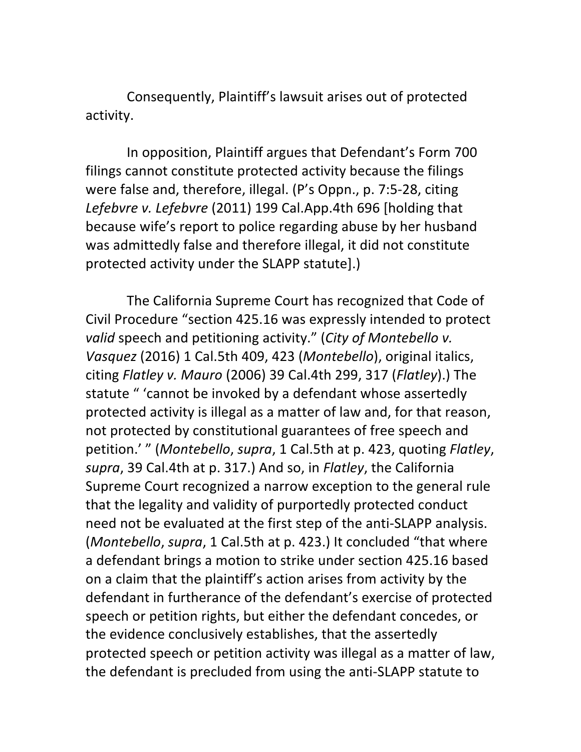Consequently, Plaintiff's lawsuit arises out of protected activity.

In opposition, Plaintiff argues that Defendant's Form 700 filings cannot constitute protected activity because the filings were false and, therefore, illegal. (P's Oppn., p. 7:5-28, citing Lefebvre v. Lefebvre (2011) 199 Cal.App.4th 696 [holding that because wife's report to police regarding abuse by her husband was admittedly false and therefore illegal, it did not constitute protected activity under the SLAPP statute].)

The California Supreme Court has recognized that Code of Civil Procedure "section 425.16 was expressly intended to protect *valid* speech and petitioning activity." (City of Montebello v. *Vasquez* (2016) 1 Cal.5th 409, 423 (*Montebello*), original italics, citing *Flatley v. Mauro* (2006) 39 Cal.4th 299, 317 (*Flatley*).) The statute " 'cannot be invoked by a defendant whose assertedly protected activity is illegal as a matter of law and, for that reason, not protected by constitutional guarantees of free speech and petition.' " (*Montebello, supra,* 1 Cal.5th at p. 423, quoting *Flatley*, supra, 39 Cal.4th at p. 317.) And so, in *Flatley*, the California Supreme Court recognized a narrow exception to the general rule that the legality and validity of purportedly protected conduct need not be evaluated at the first step of the anti-SLAPP analysis. (*Montebello, supra,* 1 Cal.5th at p. 423.) It concluded "that where a defendant brings a motion to strike under section 425.16 based on a claim that the plaintiff's action arises from activity by the defendant in furtherance of the defendant's exercise of protected speech or petition rights, but either the defendant concedes, or the evidence conclusively establishes, that the assertedly protected speech or petition activity was illegal as a matter of law, the defendant is precluded from using the anti-SLAPP statute to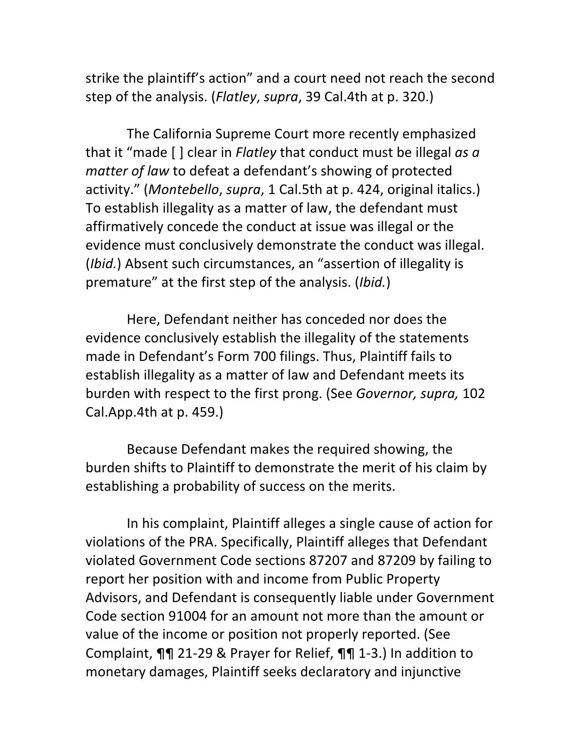strike the plaintiff's action" and a court need not reach the second step of the analysis. (*Flatley*, *supra*, 39 Cal.4th at p. 320.)

The California Supreme Court more recently emphasized that it "made [ ] clear in *Flatley* that conduct must be illegal as a *matter of law* to defeat a defendant's showing of protected activity." (Montebello, supra, 1 Cal.5th at p. 424, original italics.) To establish illegality as a matter of law, the defendant must affirmatively concede the conduct at issue was illegal or the evidence must conclusively demonstrate the conduct was illegal. (*Ibid.*) Absent such circumstances, an "assertion of illegality is premature" at the first step of the analysis. (*Ibid.*)

Here, Defendant neither has conceded nor does the evidence conclusively establish the illegality of the statements made in Defendant's Form 700 filings. Thus, Plaintiff fails to establish illegality as a matter of law and Defendant meets its burden with respect to the first prong. (See *Governor, supra,* 102 Cal.App.4th at  $p.$  459.)

Because Defendant makes the required showing, the burden shifts to Plaintiff to demonstrate the merit of his claim by establishing a probability of success on the merits.

In his complaint, Plaintiff alleges a single cause of action for violations of the PRA. Specifically, Plaintiff alleges that Defendant violated Government Code sections 87207 and 87209 by failing to report her position with and income from Public Property Advisors, and Defendant is consequently liable under Government Code section 91004 for an amount not more than the amount or value of the income or position not properly reported. (See Complaint,  $\P\P$  21-29 & Prayer for Relief,  $\P\P$  1-3.) In addition to monetary damages, Plaintiff seeks declaratory and injunctive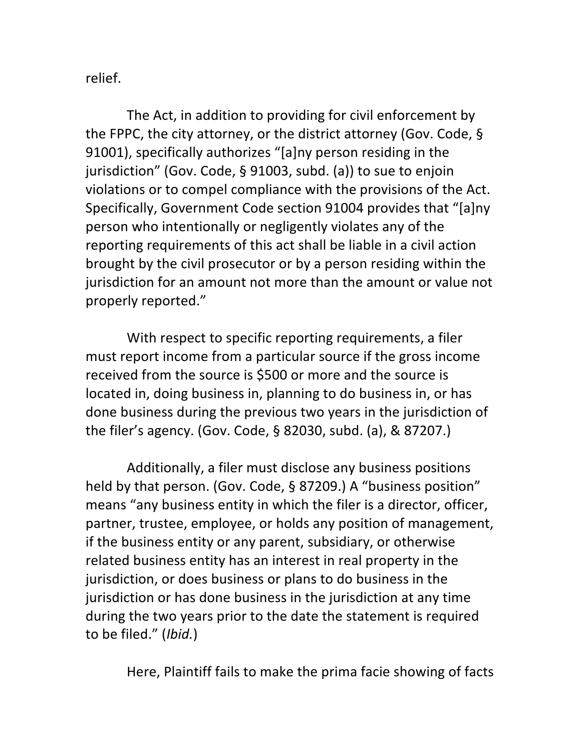relief.

The Act, in addition to providing for civil enforcement by the FPPC, the city attorney, or the district attorney (Gov. Code,  $\S$ 91001), specifically authorizes "[a]ny person residing in the jurisdiction" (Gov. Code, § 91003, subd. (a)) to sue to enjoin violations or to compel compliance with the provisions of the Act. Specifically, Government Code section 91004 provides that "[a]ny person who intentionally or negligently violates any of the reporting requirements of this act shall be liable in a civil action brought by the civil prosecutor or by a person residing within the jurisdiction for an amount not more than the amount or value not properly reported."

With respect to specific reporting requirements, a filer must report income from a particular source if the gross income received from the source is \$500 or more and the source is located in, doing business in, planning to do business in, or has done business during the previous two years in the jurisdiction of the filer's agency. (Gov. Code,  $\S$  82030, subd. (a), & 87207.)

Additionally, a filer must disclose any business positions held by that person. (Gov. Code, § 87209.) A "business position" means "any business entity in which the filer is a director, officer, partner, trustee, employee, or holds any position of management, if the business entity or any parent, subsidiary, or otherwise related business entity has an interest in real property in the jurisdiction, or does business or plans to do business in the jurisdiction or has done business in the jurisdiction at any time during the two years prior to the date the statement is required to be filed." (Ibid.)

Here, Plaintiff fails to make the prima facie showing of facts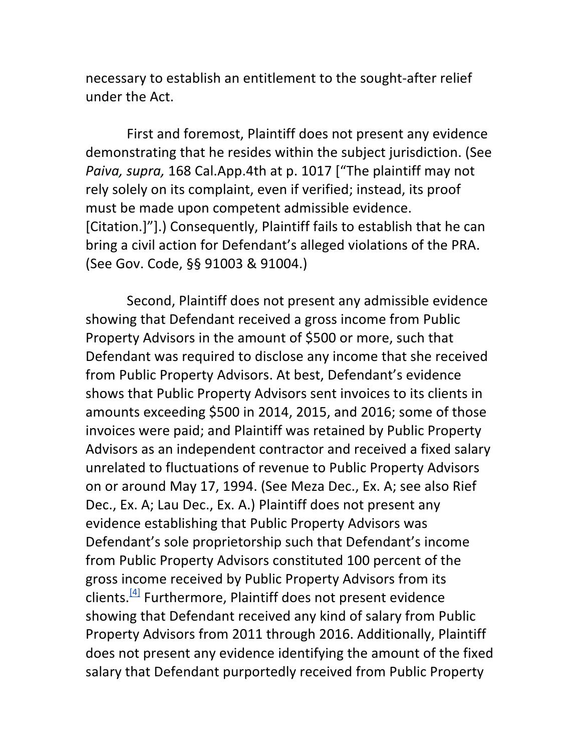necessary to establish an entitlement to the sought-after relief under the Act.

First and foremost, Plaintiff does not present any evidence demonstrating that he resides within the subject jurisdiction. (See *Paiva, supra,* 168 Cal.App.4th at p. 1017 ["The plaintiff may not rely solely on its complaint, even if verified; instead, its proof must be made upon competent admissible evidence. [Citation.]"].) Consequently, Plaintiff fails to establish that he can bring a civil action for Defendant's alleged violations of the PRA. (See Gov. Code, §§ 91003 & 91004.)

Second, Plaintiff does not present any admissible evidence showing that Defendant received a gross income from Public Property Advisors in the amount of \$500 or more, such that Defendant was required to disclose any income that she received from Public Property Advisors. At best, Defendant's evidence shows that Public Property Advisors sent invoices to its clients in amounts exceeding \$500 in 2014, 2015, and 2016; some of those invoices were paid; and Plaintiff was retained by Public Property Advisors as an independent contractor and received a fixed salary unrelated to fluctuations of revenue to Public Property Advisors on or around May 17, 1994. (See Meza Dec., Ex. A; see also Rief Dec., Ex. A; Lau Dec., Ex. A.) Plaintiff does not present any evidence establishing that Public Property Advisors was Defendant's sole proprietorship such that Defendant's income from Public Property Advisors constituted 100 percent of the gross income received by Public Property Advisors from its clients.<sup>[4]</sup> Furthermore, Plaintiff does not present evidence showing that Defendant received any kind of salary from Public Property Advisors from 2011 through 2016. Additionally, Plaintiff does not present any evidence identifying the amount of the fixed salary that Defendant purportedly received from Public Property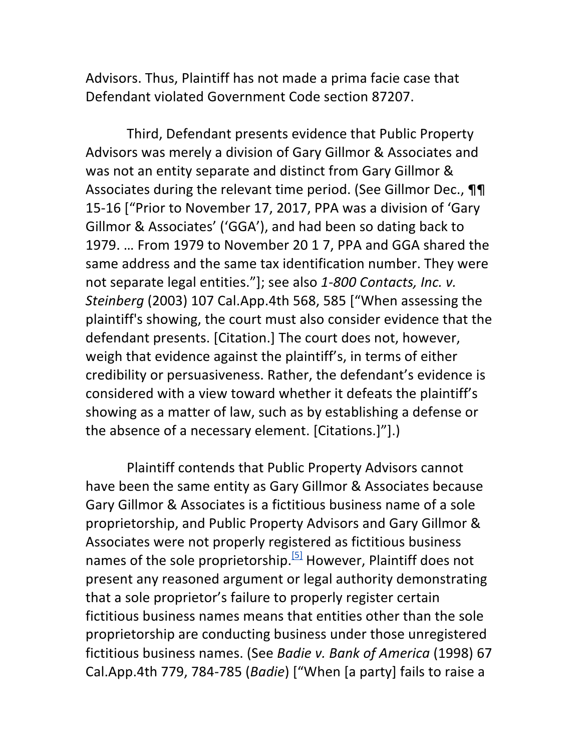Advisors. Thus, Plaintiff has not made a prima facie case that Defendant violated Government Code section 87207.

Third, Defendant presents evidence that Public Property Advisors was merely a division of Gary Gillmor & Associates and was not an entity separate and distinct from Gary Gillmor & Associates during the relevant time period. (See Gillmor Dec.,  $\P\P$ 15-16 ["Prior to November 17, 2017, PPA was a division of 'Gary Gillmor & Associates' ('GGA'), and had been so dating back to 1979. ... From 1979 to November 20 1 7, PPA and GGA shared the same address and the same tax identification number. They were not separate legal entities."]; see also 1-800 Contacts, Inc. v. *Steinberg* (2003) 107 Cal.App.4th 568, 585 ["When assessing the plaintiff's showing, the court must also consider evidence that the defendant presents. [Citation.] The court does not, however, weigh that evidence against the plaintiff's, in terms of either credibility or persuasiveness. Rather, the defendant's evidence is considered with a view toward whether it defeats the plaintiff's showing as a matter of law, such as by establishing a defense or the absence of a necessary element. [Citations.]"].)

Plaintiff contends that Public Property Advisors cannot have been the same entity as Gary Gillmor & Associates because Gary Gillmor & Associates is a fictitious business name of a sole proprietorship, and Public Property Advisors and Gary Gillmor & Associates were not properly registered as fictitious business names of the sole proprietorship.<sup>[5]</sup> However, Plaintiff does not present any reasoned argument or legal authority demonstrating that a sole proprietor's failure to properly register certain fictitious business names means that entities other than the sole proprietorship are conducting business under those unregistered fictitious business names. (See *Badie v. Bank of America* (1998) 67 Cal.App.4th 779, 784-785 (*Badie*) ["When [a party] fails to raise a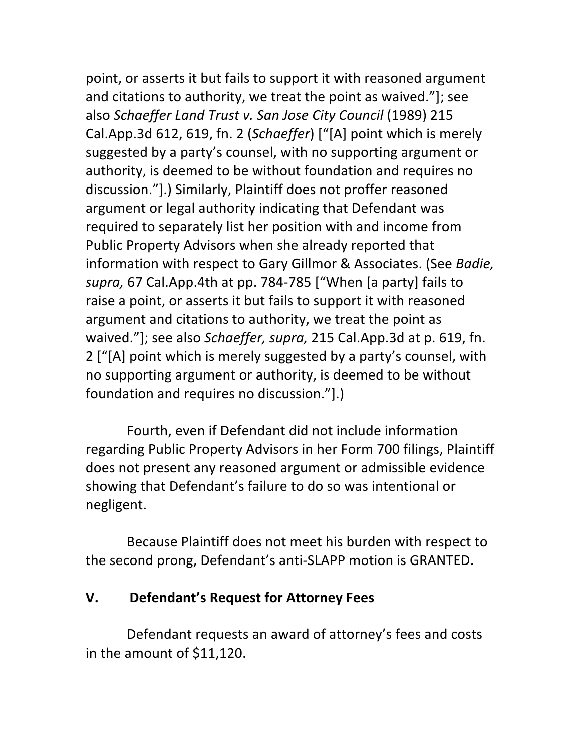point, or asserts it but fails to support it with reasoned argument and citations to authority, we treat the point as waived."]; see also *Schaeffer Land Trust v. San Jose City Council* (1989) 215 Cal.App.3d 612, 619, fn. 2 (*Schaeffer*) ["[A] point which is merely suggested by a party's counsel, with no supporting argument or authority, is deemed to be without foundation and requires no discussion."].) Similarly, Plaintiff does not proffer reasoned argument or legal authority indicating that Defendant was required to separately list her position with and income from Public Property Advisors when she already reported that information with respect to Gary Gillmor & Associates. (See *Badie*, supra, 67 Cal.App.4th at pp. 784-785 ["When [a party] fails to raise a point, or asserts it but fails to support it with reasoned argument and citations to authority, we treat the point as waived."]; see also *Schaeffer, supra,* 215 Cal.App.3d at p. 619, fn. 2 ["[A] point which is merely suggested by a party's counsel, with no supporting argument or authority, is deemed to be without foundation and requires no discussion."].)

Fourth, even if Defendant did not include information regarding Public Property Advisors in her Form 700 filings, Plaintiff does not present any reasoned argument or admissible evidence showing that Defendant's failure to do so was intentional or negligent.

Because Plaintiff does not meet his burden with respect to the second prong, Defendant's anti-SLAPP motion is GRANTED.

### **V. Defendant's Request for Attorney Fees**

Defendant requests an award of attorney's fees and costs in the amount of \$11,120.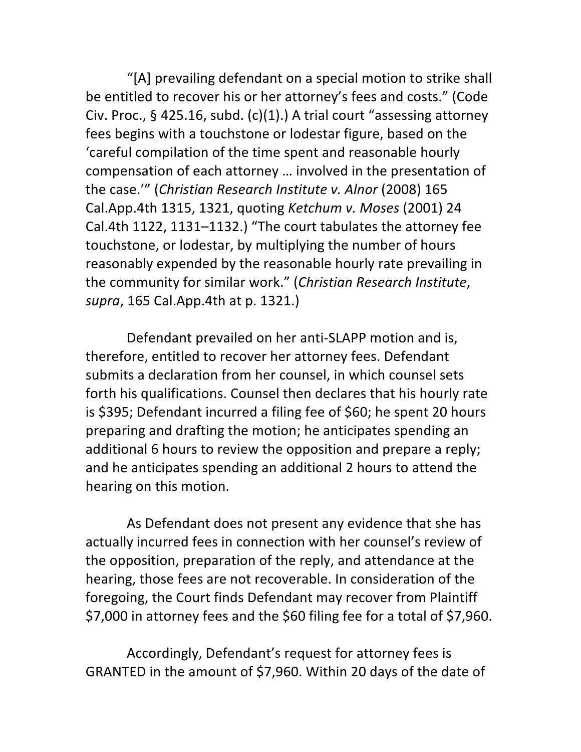"[A] prevailing defendant on a special motion to strike shall be entitled to recover his or her attorney's fees and costs." (Code Civ. Proc., § 425.16, subd. (c)(1).) A trial court "assessing attorney fees begins with a touchstone or lodestar figure, based on the 'careful compilation of the time spent and reasonable hourly compensation of each attorney ... involved in the presentation of the case."" (Christian Research Institute v. Alnor (2008) 165 Cal.App.4th 1315, 1321, quoting *Ketchum v. Moses* (2001) 24 Cal.4th 1122, 1131-1132.) "The court tabulates the attorney fee touchstone, or lodestar, by multiplying the number of hours reasonably expended by the reasonable hourly rate prevailing in the community for similar work." (*Christian Research Institute*, *supra*, 165 Cal.App.4th at p. 1321.)

Defendant prevailed on her anti-SLAPP motion and is, therefore, entitled to recover her attorney fees. Defendant submits a declaration from her counsel, in which counsel sets forth his qualifications. Counsel then declares that his hourly rate is \$395; Defendant incurred a filing fee of \$60; he spent 20 hours preparing and drafting the motion; he anticipates spending an additional 6 hours to review the opposition and prepare a reply; and he anticipates spending an additional 2 hours to attend the hearing on this motion.

As Defendant does not present any evidence that she has actually incurred fees in connection with her counsel's review of the opposition, preparation of the reply, and attendance at the hearing, those fees are not recoverable. In consideration of the foregoing, the Court finds Defendant may recover from Plaintiff \$7,000 in attorney fees and the \$60 filing fee for a total of \$7,960.

Accordingly, Defendant's request for attorney fees is GRANTED in the amount of \$7,960. Within 20 days of the date of